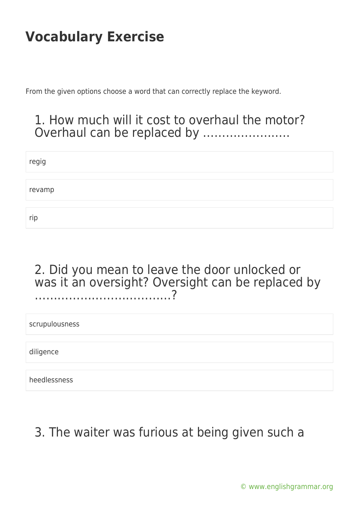From the given options choose a word that can correctly replace the keyword.

### 1. How much will it cost to overhaul the motor? Overhaul can be replaced by …………………..

regig revamp rip

#### 2. Did you mean to leave the door unlocked or was it an oversight? Oversight can be replaced by ………………………………?

scrupulousness

diligence

heedlessness

### 3. The waiter was furious at being given such a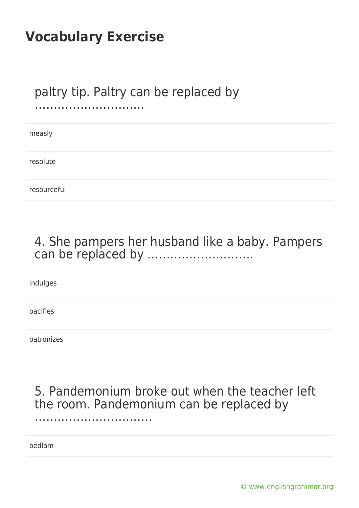### paltry tip. Paltry can be replaced by

………………………..

measly

resolute

resourceful

### 4. She pampers her husband like a baby. Pampers can be replaced by ……………………….

indulges

pacifies

patronizes

5. Pandemonium broke out when the teacher left the room. Pandemonium can be replaced by

bedlam

……………………………………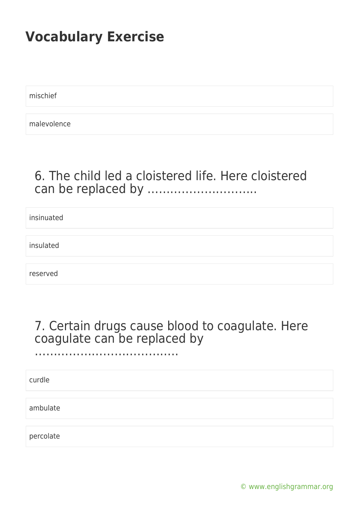mischief

malevolence

### 6. The child led a cloistered life. Here cloistered can be replaced by ………………………..

insinuated

insulated

reserved

### 7. Certain drugs cause blood to coagulate. Here coagulate can be replaced by

…………………………………………

curdle

ambulate

percolate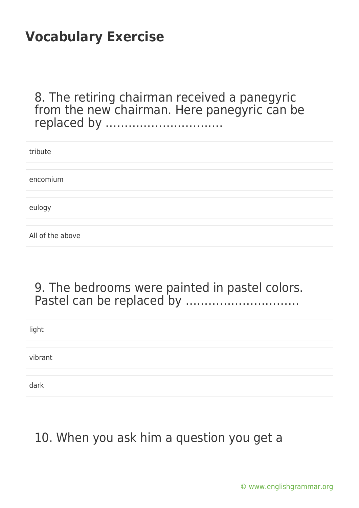8. The retiring chairman received a panegyric from the new chairman. Here panegyric can be replaced by ………………………….

| tribute          |  |  |
|------------------|--|--|
| encomium         |  |  |
|                  |  |  |
| eulogy           |  |  |
|                  |  |  |
| All of the above |  |  |

#### 9. The bedrooms were painted in pastel colors. Pastel can be replaced by …………………………

light vibrant dark

### 10. When you ask him a question you get a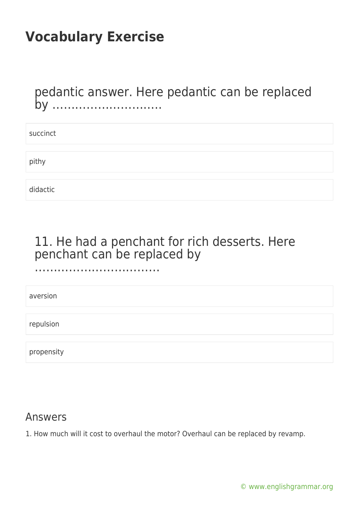……………………………………………

pedantic answer. Here pedantic can be replaced by ………………………..

| succinct |  |  |  |
|----------|--|--|--|
|          |  |  |  |
| pithy    |  |  |  |
|          |  |  |  |
| didactic |  |  |  |

### 11. He had a penchant for rich desserts. Here penchant can be replaced by

aversion

repulsion

propensity

#### Answers

1. How much will it cost to overhaul the motor? Overhaul can be replaced by revamp.